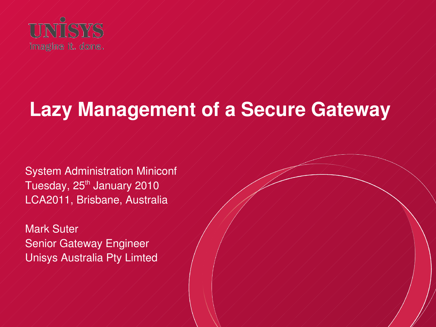

# **Lazy Management of a Secure Gateway**

System Administration Miniconf Tuesday, 25<sup>th</sup> January 2010 LCA2011, Brisbane, Australia

Mark Suter Senior Gateway Engineer Unisys Australia Pty Limted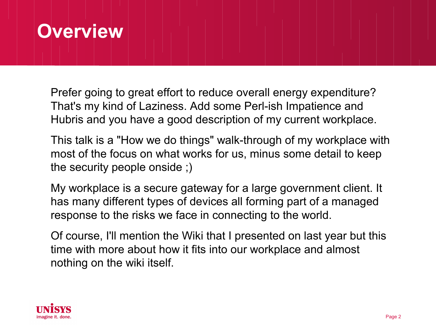#### **Overview**

Prefer going to great effort to reduce overall energy expenditure? That's my kind of Laziness. Add some Perl-ish Impatience and Hubris and you have a good description of my current workplace.

This talk is a "How we do things" walk-through of my workplace with most of the focus on what works for us, minus some detail to keep the security people onside ;)

My workplace is a secure gateway for a large government client. It has many different types of devices all forming part of a managed response to the risks we face in connecting to the world.

Of course, I'll mention the Wiki that I presented on last year but this time with more about how it fits into our workplace and almost nothing on the wiki itself.

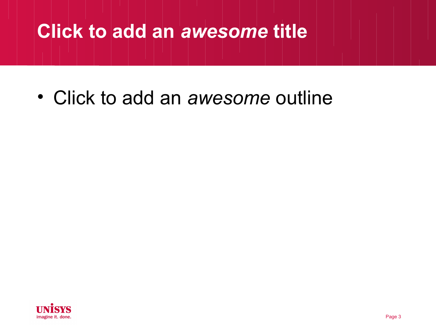#### **Click to add an** *awesome* **title**

• Click to add an *awesome* outline

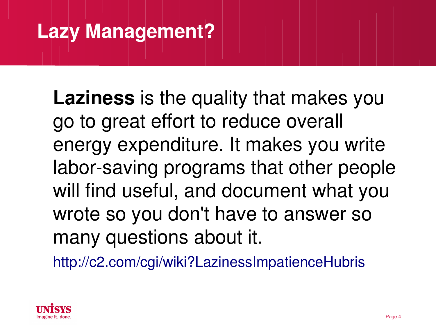### **Lazy Management?**

**Laziness** is the quality that makes you go to great effort to reduce overall energy expenditure. It makes you write labor-saving programs that other people will find useful, and document what you wrote so you don't have to answer so many questions about it.

<http://c2.com/cgi/wiki?LazinessImpatienceHubris>

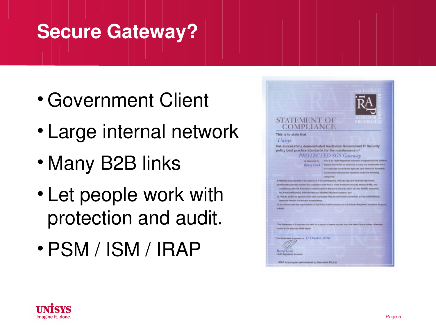## **Secure Gateway?**

- Government Client
- Large internal network
- Many B2B links
- Let people work with protection and audit.
- PSM / ISM / IRAP



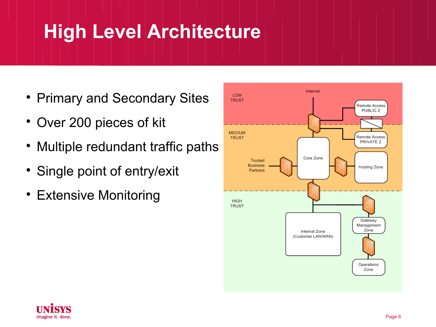## **High Level Architecture**

- Primary and Secondary Sites
- Over 200 pieces of kit
- Multiple redundant traffic paths
- Single point of entry/exit
- Extensive Monitoring



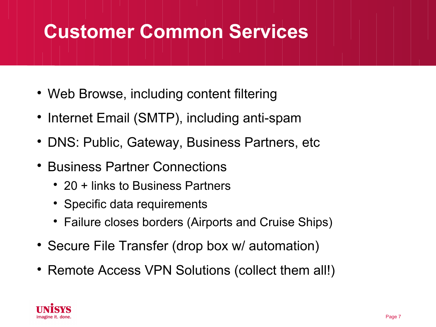## **Customer Common Services**

- Web Browse, including content filtering
- Internet Email (SMTP), including anti-spam
- DNS: Public, Gateway, Business Partners, etc
- Business Partner Connections
	- 20 + links to Business Partners
	- Specific data requirements
	- Failure closes borders (Airports and Cruise Ships)
- Secure File Transfer (drop box w/ automation)
- Remote Access VPN Solutions (collect them all!)

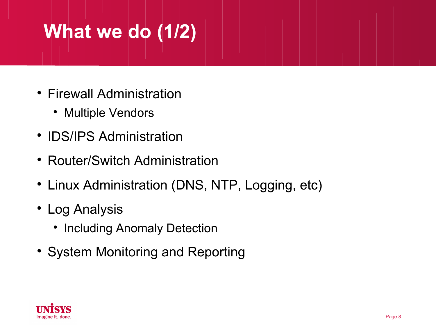# **What we do (1/2)**

- Firewall Administration
	- Multiple Vendors
- IDS/IPS Administration
- Router/Switch Administration
- Linux Administration (DNS, NTP, Logging, etc)
- Log Analysis
	- Including Anomaly Detection
- System Monitoring and Reporting

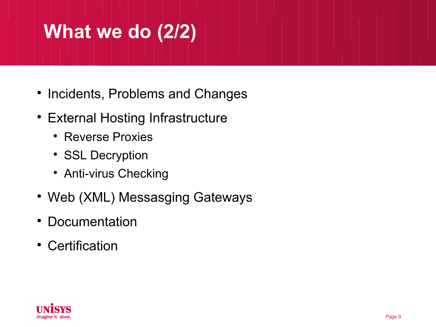# **What we do (2/2)**

- Incidents, Problems and Changes
- External Hosting Infrastructure
	- Reverse Proxies
	- SSL Decryption
	- Anti-virus Checking
- Web (XML) Messasging Gateways
- Documentation
- Certification

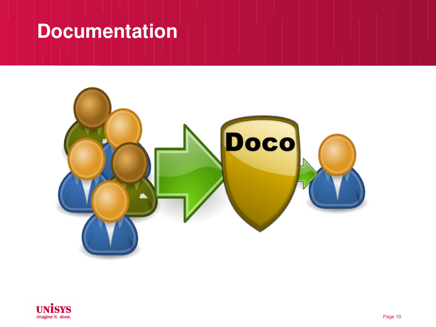#### **Documentation**



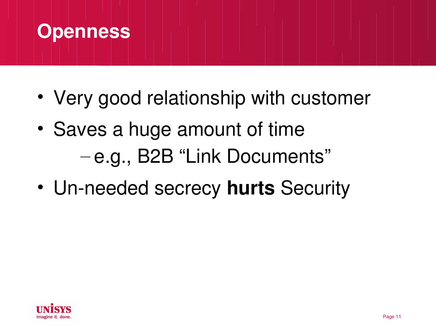

- Very good relationship with customer
- Saves a huge amount of time – e.g., B2B "Link Documents"
- Un-needed secrecy **hurts** Security

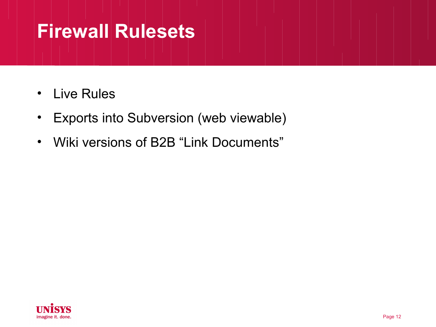#### **Firewall Rulesets**

- Live Rules
- Exports into Subversion (web viewable)
- Wiki versions of B2B "Link Documents"

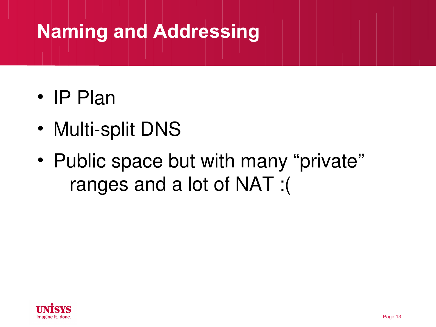## **Naming and Addressing**

- IP Plan
- Multi-split DNS
- Public space but with many "private" ranges and a lot of NAT :(

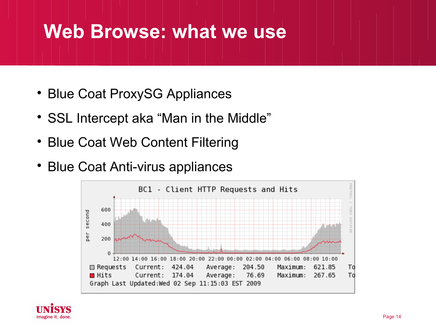#### **Web Browse: what we use**

- Blue Coat ProxySG Appliances
- SSL Intercept aka "Man in the Middle"
- Blue Coat Web Content Filtering
- Blue Coat Anti-virus appliances



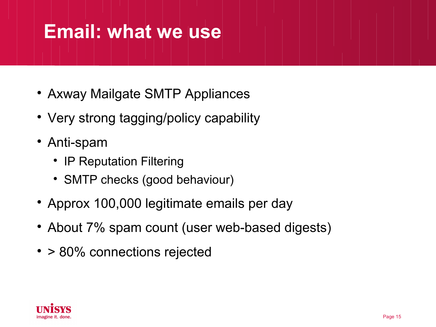#### **Email: what we use**

- Axway Mailgate SMTP Appliances
- Very strong tagging/policy capability
- Anti-spam
	- IP Reputation Filtering
	- SMTP checks (good behaviour)
- Approx 100,000 legitimate emails per day
- About 7% spam count (user web-based digests)
- > 80% connections rejected

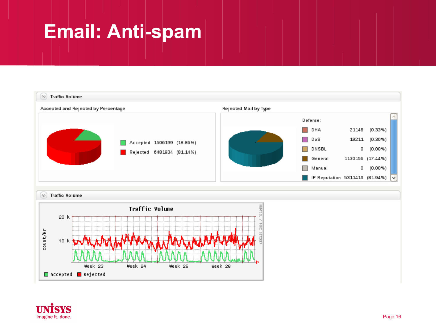## **Email: Anti-spam**



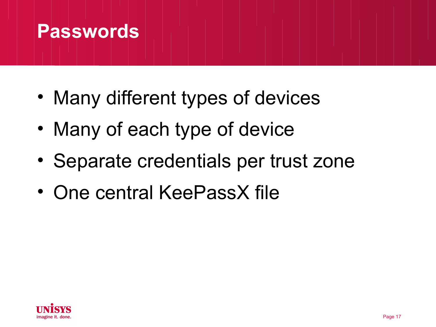#### **Passwords**

- Many different types of devices
- Many of each type of device
- Separate credentials per trust zone
- One central KeePassX file

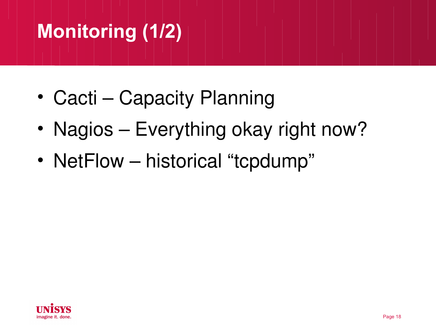# **Monitoring (1/2)**

- Cacti Capacity Planning
- Nagios Everything okay right now?
- NetFlow historical "tcpdump"

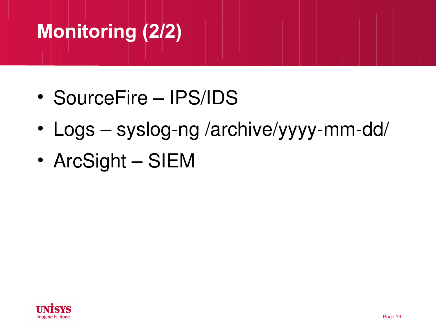# **Monitoring (2/2)**

- SourceFire IPS/IDS
- Logs syslog-ng /archive/yyyy-mm-dd/
- ArcSight SIEM

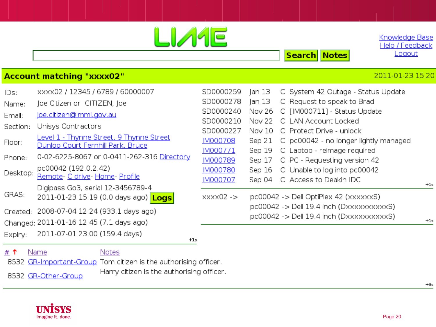|                                                                     |                                                                                                                                                                                                                                                                                                                                                |                                                                                                                                  |                                                                                                  | <b>Search</b><br><b>Notes</b>                                                                                                                                                                                                                                                                                          | Knowledge Base<br>Help / Feedback<br>Logout |
|---------------------------------------------------------------------|------------------------------------------------------------------------------------------------------------------------------------------------------------------------------------------------------------------------------------------------------------------------------------------------------------------------------------------------|----------------------------------------------------------------------------------------------------------------------------------|--------------------------------------------------------------------------------------------------|------------------------------------------------------------------------------------------------------------------------------------------------------------------------------------------------------------------------------------------------------------------------------------------------------------------------|---------------------------------------------|
| 2011-01-23 15:20<br><b>Account matching "xxxx02"</b>                |                                                                                                                                                                                                                                                                                                                                                |                                                                                                                                  |                                                                                                  |                                                                                                                                                                                                                                                                                                                        |                                             |
| IDs:<br>Name:<br>Email:<br>Section:<br>Floor:<br>Phone:<br>Desktop: | XXXX02 / 12345 / 6789 / 60000007<br>Joe Citizen or CITIZEN, Joe<br>joe.citizen@immi.gov.au<br>Unisys Contractors<br>Level 1 - Thynne Street, 9 Thynne Street<br>Dunlop Court Fernhill Park, Bruce<br>0-02-6225-8067 or 0-0411-262-316 Directory<br>pc00042 (192.0.2.42)<br>Remote- C drive- Home- Profile<br>Digipass Go3, serial 12-3456789-4 | SD0000259<br>SD0000278<br>SD0000240<br>SD0000210<br>SD0000227<br><b>IM000708</b><br>IM000771<br>IM000789<br>IM000780<br>IM000707 | Jan 13<br>Jan 13<br>Nov 26<br>Nov 22<br>Nov 10<br>Sep 21<br>Sep 19<br>Sep 17<br>Sep 16<br>Sep 04 | C System 42 Outage - Status Update<br>C Request to speak to Brad<br>C [IM000711] - Status Update<br>C LAN Account Locked<br>C Protect Drive - unlock<br>C pc00042 - no longer lightly managed<br>C Laptop - reimage required<br>C PC - Requesting version 42<br>C Unable to log into pc00042<br>C Access to Deakin IDC | $+1s$                                       |
| GRAS:<br>Created:<br>Expiry:                                        | 2011-01-23 15:19 (0.0 days ago) <b>Logs</b><br>2008-07-04 12:24 (933.1 days ago)<br>Changed: 2011-01-16 12:45 (7.1 days ago)<br>2011-07-01 23:00 (159.4 days)                                                                                                                                                                                  | $xxxx02 ->$                                                                                                                      |                                                                                                  | pc00042 -> Dell OptiPlex 42 (xxxxxxS)<br>pc00042 -> Dell 19.4 inch (DxxxxxxxxxxS)<br>pc00042 -> Dell 19.4 inch (DxxxxxxxxxxS)                                                                                                                                                                                          | $+1s$                                       |

# 1 Name **Notes** 8532 GR-Important-Group Tom citizen is the authorising officer. Harry citizen is the authorising officer. 8532 GR-Other-Group



 $+3s$